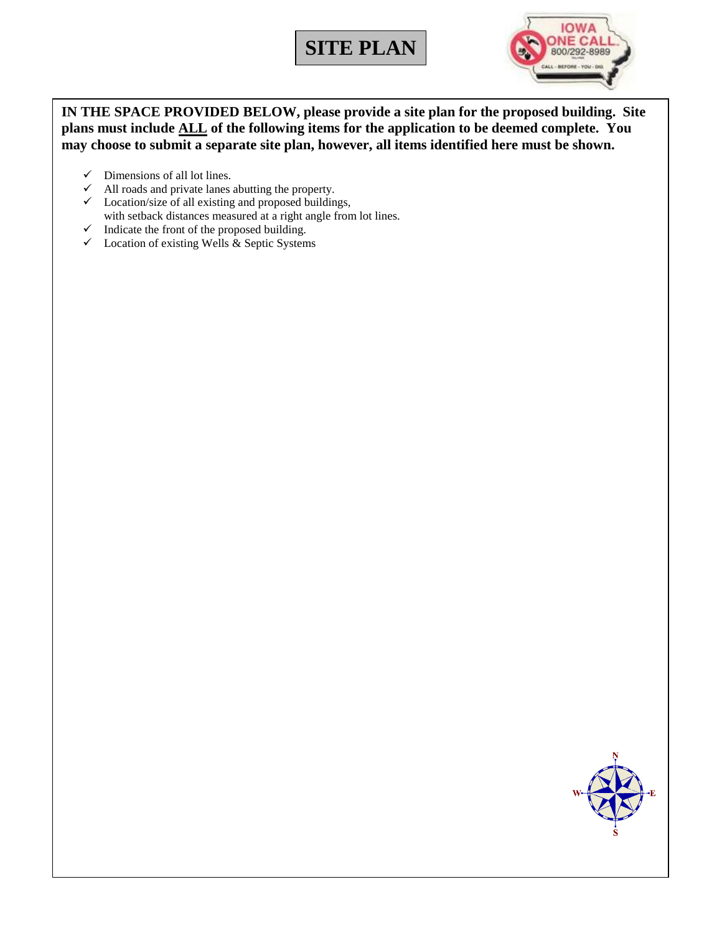# **SITE PLAN**



**IN THE SPACE PROVIDED BELOW, please provide a site plan for the proposed building. Site plans must include ALL of the following items for the application to be deemed complete. You may choose to submit a separate site plan, however, all items identified here must be shown.**

- $\checkmark$  Dimensions of all lot lines.
- $\checkmark$  All roads and private lanes abutting the property.
- $\checkmark$  Location/size of all existing and proposed buildings, with setback distances measured at a right angle from lot lines.
- $\checkmark$  Indicate the front of the proposed building.
- $\checkmark$  Location of existing Wells & Septic Systems